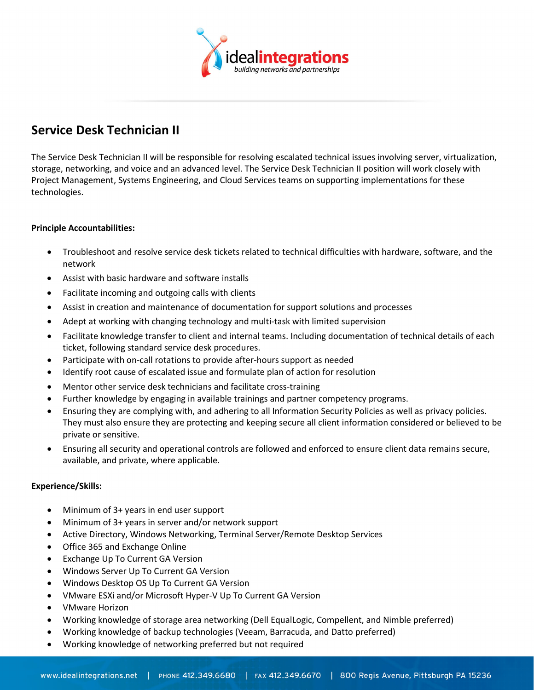

# **Service Desk Technician II**

The Service Desk Technician II will be responsible for resolving escalated technical issues involving server, virtualization, storage, networking, and voice and an advanced level. The Service Desk Technician II position will work closely with Project Management, Systems Engineering, and Cloud Services teams on supporting implementations for these technologies.

## **Principle Accountabilities:**

- Troubleshoot and resolve service desk tickets related to technical difficulties with hardware, software, and the network
- Assist with basic hardware and software installs
- Facilitate incoming and outgoing calls with clients
- Assist in creation and maintenance of documentation for support solutions and processes
- Adept at working with changing technology and multi-task with limited supervision
- Facilitate knowledge transfer to client and internal teams. Including documentation of technical details of each ticket, following standard service desk procedures.
- Participate with on-call rotations to provide after-hours support as needed
- Identify root cause of escalated issue and formulate plan of action for resolution
- Mentor other service desk technicians and facilitate cross-training
- Further knowledge by engaging in available trainings and partner competency programs.
- Ensuring they are complying with, and adhering to all Information Security Policies as well as privacy policies. They must also ensure they are protecting and keeping secure all client information considered or believed to be private or sensitive.
- Ensuring all security and operational controls are followed and enforced to ensure client data remains secure, available, and private, where applicable.

### **Experience/Skills:**

- Minimum of 3+ years in end user support
- Minimum of 3+ years in server and/or network support
- Active Directory, Windows Networking, Terminal Server/Remote Desktop Services
- Office 365 and Exchange Online
- Exchange Up To Current GA Version
- Windows Server Up To Current GA Version
- Windows Desktop OS Up To Current GA Version
- VMware ESXi and/or Microsoft Hyper-V Up To Current GA Version
- VMware Horizon
- Working knowledge of storage area networking (Dell EqualLogic, Compellent, and Nimble preferred)
- Working knowledge of backup technologies (Veeam, Barracuda, and Datto preferred)
- Working knowledge of networking preferred but not required